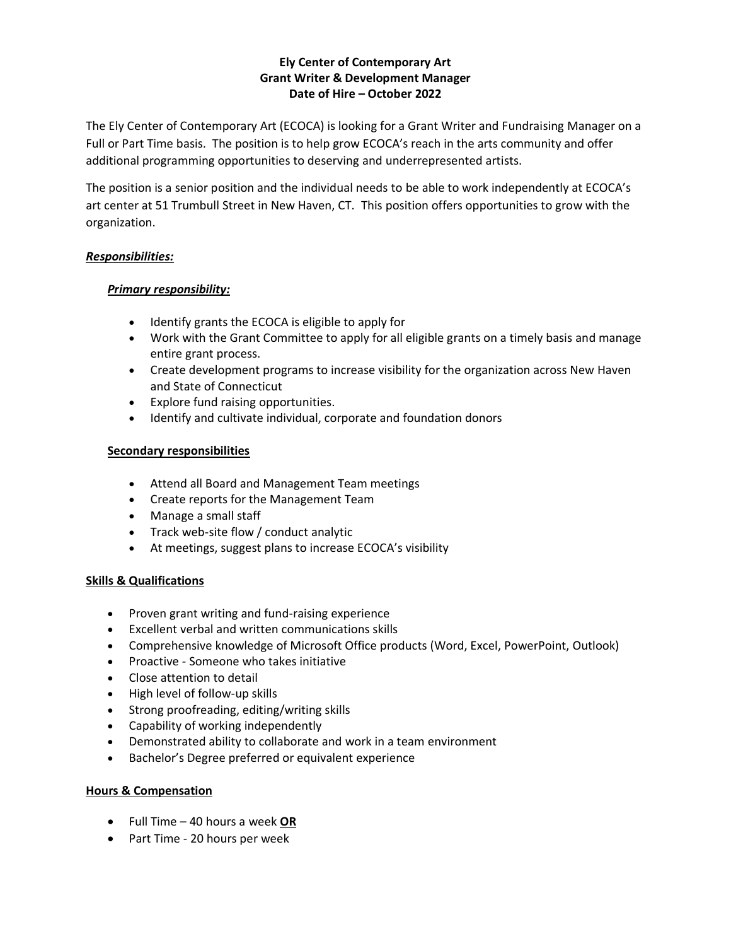# **Ely Center of Contemporary Art Grant Writer & Development Manager Date of Hire – October 2022**

The Ely Center of Contemporary Art (ECOCA) is looking for a Grant Writer and Fundraising Manager on a Full or Part Time basis. The position is to help grow ECOCA's reach in the arts community and offer additional programming opportunities to deserving and underrepresented artists.

The position is a senior position and the individual needs to be able to work independently at ECOCA's art center at 51 Trumbull Street in New Haven, CT. This position offers opportunities to grow with the organization.

### *Responsibilities:*

### *Primary responsibility:*

- Identify grants the ECOCA is eligible to apply for
- Work with the Grant Committee to apply for all eligible grants on a timely basis and manage entire grant process.
- Create development programs to increase visibility for the organization across New Haven and State of Connecticut
- Explore fund raising opportunities.
- Identify and cultivate individual, corporate and foundation donors

### **Secondary responsibilities**

- Attend all Board and Management Team meetings
- Create reports for the Management Team
- Manage a small staff
- Track web-site flow / conduct analytic
- At meetings, suggest plans to increase ECOCA's visibility

# **Skills & Qualifications**

- Proven grant writing and fund-raising experience
- Excellent verbal and written communications skills
- Comprehensive knowledge of Microsoft Office products (Word, Excel, PowerPoint, Outlook)
- Proactive Someone who takes initiative
- Close attention to detail
- High level of follow-up skills
- Strong proofreading, editing/writing skills
- Capability of working independently
- Demonstrated ability to collaborate and work in a team environment
- Bachelor's Degree preferred or equivalent experience

#### **Hours & Compensation**

- Full Time 40 hours a week **OR**
- Part Time 20 hours per week